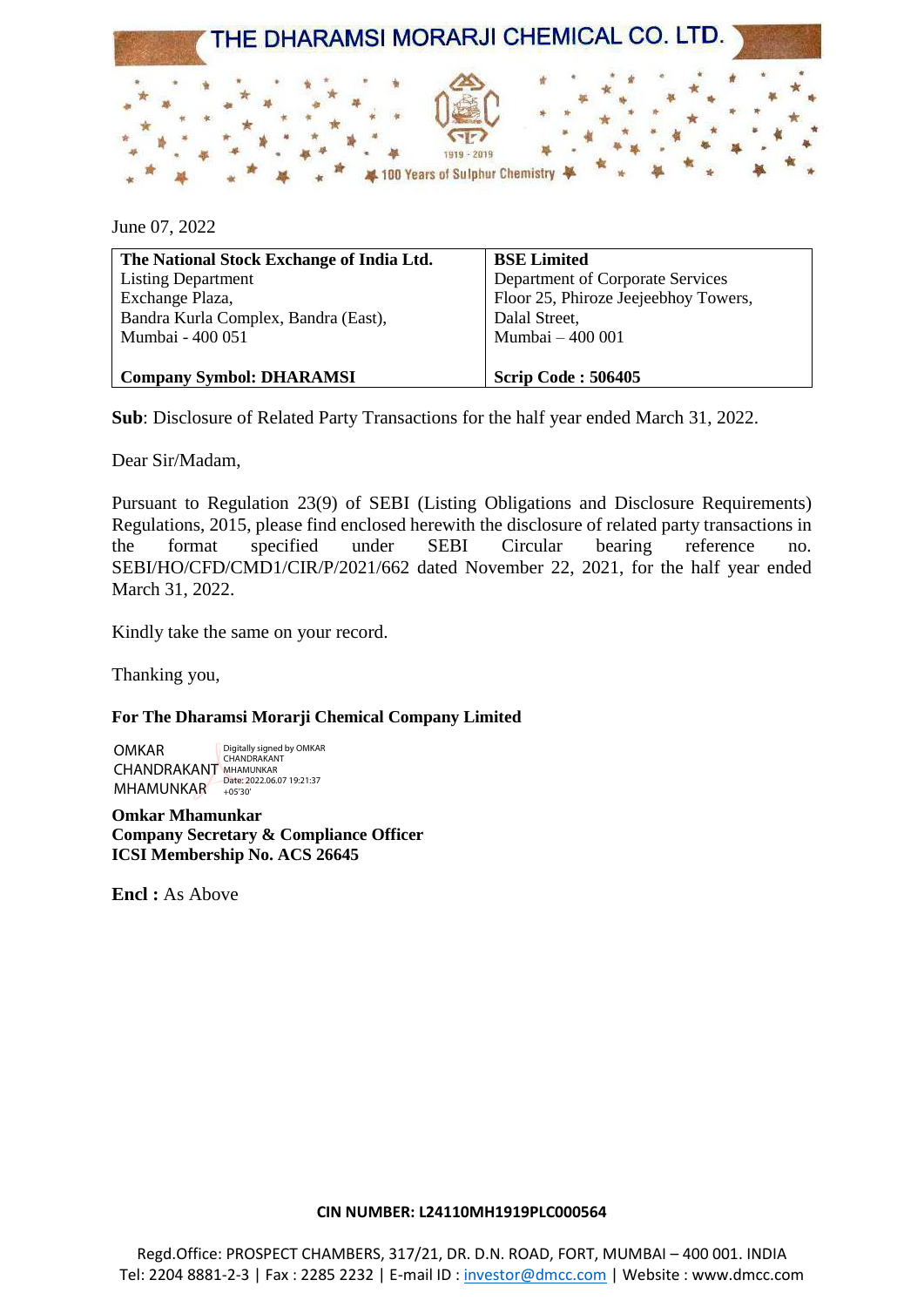

June 07, 2022

| The National Stock Exchange of India Ltd. | <b>BSE Limited</b>                   |
|-------------------------------------------|--------------------------------------|
| <b>Listing Department</b>                 | Department of Corporate Services     |
| Exchange Plaza,                           | Floor 25, Phiroze Jeejeebhoy Towers, |
| Bandra Kurla Complex, Bandra (East),      | Dalal Street,                        |
| Mumbai - 400 051                          | Mumbai - 400 001                     |
|                                           |                                      |
| <b>Company Symbol: DHARAMSI</b>           | <b>Scrip Code: 506405</b>            |

**Sub**: Disclosure of Related Party Transactions for the half year ended March 31, 2022.

Dear Sir/Madam,

Pursuant to Regulation 23(9) of SEBI (Listing Obligations and Disclosure Requirements) Regulations, 2015, please find enclosed herewith the disclosure of related party transactions in the format specified under SEBI Circular bearing reference no. SEBI/HO/CFD/CMD1/CIR/P/2021/662 dated November 22, 2021, for the half year ended March 31, 2022.

Kindly take the same on your record.

Thanking you,

**For The Dharamsi Morarji Chemical Company Limited**

OMKAR CHANDRAKANT MHAMUNKAR +05'30' Digitally signed by OMKAR CHANDRAKANT MHAMUNKAR

**Omkar Mhamunkar Company Secretary & Compliance Officer ICSI Membership No. ACS 26645**

**Encl :** As Above

## **CIN NUMBER: L24110MH1919PLC000564**